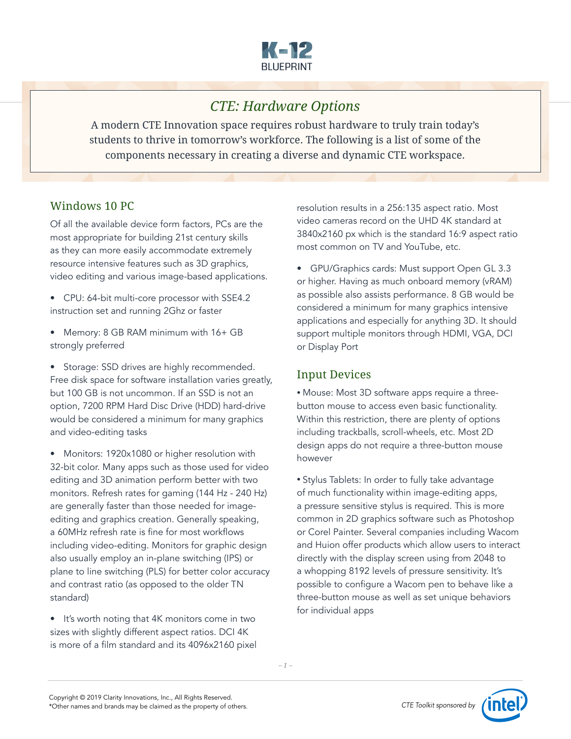

# *CTE: Hardware Options*

A modern CTE Innovation space requires robust hardware to truly train today's students to thrive in tomorrow's workforce. The following is a list of some of the components necessary in creating a diverse and dynamic CTE workspace.

#### Windows 10 PC

Of all the available device form factors, PCs are the most appropriate for building 21st century skills as they can more easily accommodate extremely resource intensive features such as 3D graphics, video editing and various image-based applications.

- CPU: 64-bit multi-core processor with SSE4.2 instruction set and running 2Ghz or faster
- Memory: 8 GB RAM minimum with 16+ GB strongly preferred

• Storage: SSD drives are highly recommended. Free disk space for software installation varies greatly, but 100 GB is not uncommon. If an SSD is not an option, 7200 RPM Hard Disc Drive (HDD) hard-drive would be considered a minimum for many graphics and video-editing tasks

• Monitors: 1920x1080 or higher resolution with 32-bit color. Many apps such as those used for video editing and 3D animation perform better with two monitors. Refresh rates for gaming (144 Hz - 240 Hz) are generally faster than those needed for imageediting and graphics creation. Generally speaking, a 60MHz refresh rate is fine for most workflows including video-editing. Monitors for graphic design also usually employ an in-plane switching (IPS) or plane to line switching (PLS) for better color accuracy and contrast ratio (as opposed to the older TN standard)

• It's worth noting that 4K monitors come in two sizes with slightly different aspect ratios. DCI 4K is more of a film standard and its 4096x2160 pixel resolution results in a 256:135 aspect ratio. Most video cameras record on the UHD 4K standard at 3840x2160 px which is the standard 16:9 aspect ratio most common on TV and YouTube, etc.

• GPU/Graphics cards: Must support Open GL 3.3 or higher. Having as much onboard memory (vRAM) as possible also assists performance. 8 GB would be considered a minimum for many graphics intensive applications and especially for anything 3D. It should support multiple monitors through HDMI, VGA, DCI or Display Port

## Input Devices

• Mouse: Most 3D software apps require a threebutton mouse to access even basic functionality. Within this restriction, there are plenty of options including trackballs, scroll-wheels, etc. Most 2D design apps do not require a three-button mouse however

• Stylus Tablets: In order to fully take advantage of much functionality within image-editing apps, a pressure sensitive stylus is required. This is more common in 2D graphics software such as Photoshop or Corel Painter. Several companies including Wacom and Huion offer products which allow users to interact directly with the display screen using from 2048 to a whopping 8192 levels of pressure sensitivity. It's possible to configure a Wacom pen to behave like a three-button mouse as well as set unique behaviors for individual apps

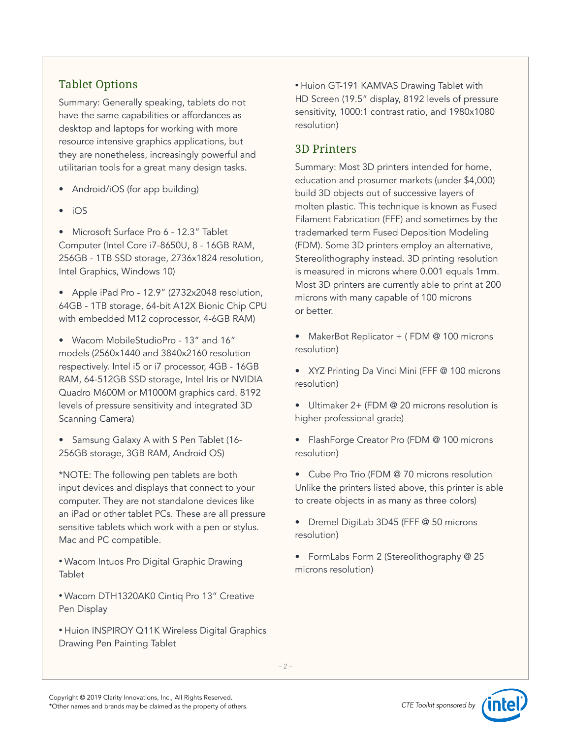## Tablet Options

Summary: Generally speaking, tablets do not have the same capabilities or affordances as desktop and laptops for working with more resource intensive graphics applications, but they are nonetheless, increasingly powerful and utilitarian tools for a great many design tasks.

- Android/iOS (for app building)
- iOS

• Microsoft Surface Pro 6 - 12.3" Tablet Computer (Intel Core i7-8650U, 8 - 16GB RAM, 256GB - 1TB SSD storage, 2736x1824 resolution, Intel Graphics, Windows 10)

• Apple iPad Pro - 12.9" (2732x2048 resolution, 64GB - 1TB storage, 64-bit A12X Bionic Chip CPU with embedded M12 coprocessor, 4-6GB RAM)

• Wacom MobileStudioPro - 13" and 16" models (2560x1440 and 3840x2160 resolution respectively. Intel i5 or i7 processor, 4GB - 16GB RAM, 64-512GB SSD storage, Intel Iris or NVIDIA Quadro M600M or M1000M graphics card. 8192 levels of pressure sensitivity and integrated 3D Scanning Camera)

• Samsung Galaxy A with S Pen Tablet (16- 256GB storage, 3GB RAM, Android OS)

\*NOTE: The following pen tablets are both input devices and displays that connect to your computer. They are not standalone devices like an iPad or other tablet PCs. These are all pressure sensitive tablets which work with a pen or stylus. Mac and PC compatible.

• Wacom Intuos Pro Digital Graphic Drawing Tablet

- Wacom DTH1320AK0 Cintiq Pro 13" Creative Pen Display
- Huion INSPIROY Q11K Wireless Digital Graphics Drawing Pen Painting Tablet

• Huion GT-191 KAMVAS Drawing Tablet with HD Screen (19.5" display, 8192 levels of pressure sensitivity, 1000:1 contrast ratio, and 1980x1080 resolution)

### 3D Printers

Summary: Most 3D printers intended for home, education and prosumer markets (under \$4,000) build 3D objects out of successive layers of molten plastic. This technique is known as Fused Filament Fabrication (FFF) and sometimes by the trademarked term Fused Deposition Modeling (FDM). Some 3D printers employ an alternative, Stereolithography instead. 3D printing resolution is measured in microns where 0.001 equals 1mm. Most 3D printers are currently able to print at 200 microns with many capable of 100 microns or better.

• MakerBot Replicator + (FDM @ 100 microns resolution)

• XYZ Printing Da Vinci Mini (FFF @ 100 microns resolution)

• Ultimaker 2+ (FDM @ 20 microns resolution is higher professional grade)

• FlashForge Creator Pro (FDM @ 100 microns resolution)

- Cube Pro Trio (FDM @ 70 microns resolution Unlike the printers listed above, this printer is able to create objects in as many as three colors)
- Dremel DigiLab 3D45 (FFF @ 50 microns resolution)

• FormLabs Form 2 (Stereolithography @ 25 microns resolution)